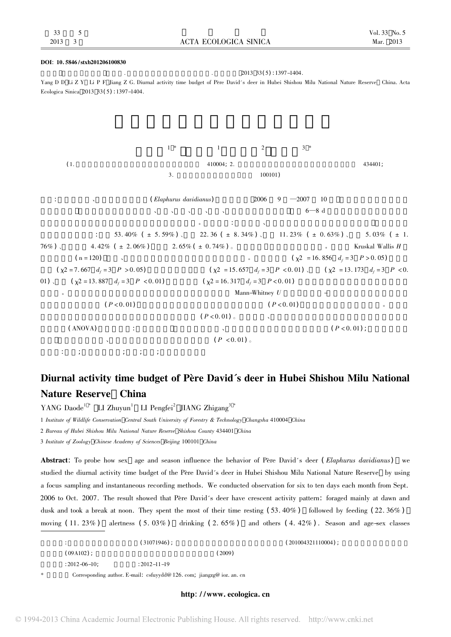### DOI: 10. 5846 /stxb201206100830

 $2013 \quad 33(5) \cdot 1397 - 1404.$ Yang D D Li Z Y Li P F Jiang Z G. Diurnal activity time budget of Père David's deer in Hubei Shishou Milu National Nature Reserve China. Acta Ecologica Sinica 2013 33( 5) : 1397-1404.

杨道德<sup>1</sup> \* 李竹云<sup>1</sup> 李鹏飞<sup>2</sup> 蒋志刚<sup>3</sup> \* ( 1. 中南林业科技大学野生动植物保护研究所 长沙 410004; 2. 湖北石首麋鹿国家级自然保护区管理处 石首 434401; 3. 中国科学院动物研究所 北京 100101) 摘要: 为探讨性别、年龄和季节对麋鹿( Elaphurus davidianus) 行为的影响 2006 9 —2007 10 作者采用焦点取样法和 瞬时记录法 将麋鹿昼间活动归为采食、饮水、运动、休息、警觉、其他行为等六大类型 每月 6—8 d 对湖北石首麋鹿国家级自然 保护区麋鹿种群的昼间活动时间分配进行了跟踪观察。结果表明: 麋鹿有晨、昏两个采食高峰和一个午间休息期 各种行为类 型所占比例依次是: 休息 53. 40% ( <sup>±</sup> 5. 59% ) 、采食 22. 36 ( <sup>±</sup> 8. 34% ) 、运动 11. 23% ( <sup>±</sup> 0. 63% ) 、警觉 5. 03% ( <sup>±</sup> 1. 76% ) 、其他行为 4. 42% ( <sup>±</sup> 2. 06% ) ,饮水 2. 65% ( <sup>±</sup> 0. 74% ) 。不同季节 时间分配变化明显。非参数 Kruskal Wallis H 验结果显示( n = 120) ,季节、年龄和性别显著影响麋鹿的活动时间分配。除运动行为 ( χ2 = 16. 856 df = 3 P > 0. 05) 和饮水 行为 ( χ2 = 7. 667 df = 3 P > 0. 05) 无显著差异外 采食 ( χ2 = 15. 657 df = 3 P <sup>&</sup>lt; 0. 01) 、休息 ( χ2 = 13. 173 df = 3 P <sup>&</sup>lt; 0. 01) 、警觉 ( χ2 = 13. 887 df = 3 P <sup>&</sup>lt; 0. 01) 和其他行为 ( χ2 = 16. 317 df = 3 P <sup>&</sup>lt; 0. 01) 在不同季节所占时间百分比均有极显 著差异。对不同性别年龄组的活动时间分配采用两个独立样本的 Mann-Whitney U 检验 各性别-年龄组间的运动行为所占时 间比例有极显著差异 ( P <sup>&</sup>lt; 0. 01) ,雄鹿与雌鹿之间的警觉行为有极显著差异 ( P <sup>&</sup>lt; 0. 01) ,雄鹿花较多时间用于警觉。幼鹿与 成年鹿及亚成年鹿之间的采食行为时间有极显著差异 ( P <sup>&</sup>lt; 0. 01) 。不同性别、年龄组在不同季节的昼间活动时间分配的差异 采用方差( ANOVA) 分析后发现: 所有年龄组 夏季与冬季饮水、春季与夏季警觉均存在显著性差异( P <sup>&</sup>lt; 0. 01) ; 成体和亚成体 麋鹿 春季与冬季警觉、夏季与冬季运动均存在显著性差异 ( P <sup>&</sup>lt; 0. 01) 。 关键词: 麋鹿; 昼间活动节律; 采食; 运动; 警戒与自我修饰

# Diurnal activity time budget of Père David's deer in Hubei Shishou Milu National Nature Reserve China

YANG Daode<sup>1</sup><sup>\*</sup> LI Zhuyun<sup>1</sup> LI Pengfei<sup>2</sup> JIANG Zhigang<sup>3</sup><sup>\*</sup>

1 Institute of Wildlife Conservation Central South University of Forestry & Technology Changsha 410004 China

2 Bureau of Hubei Shishou Milu National Nature Reserve Shishou County 434401 China

3 Institute of Zoology Chinese Academy of Sciences Beijing 100101 China

Abstract: To probe how sex age and season influence the behavior of Père David's deer (Elaphurus davidianus) we studied the diurnal activity time budget of the Père David's deer in Hubei Shishou Milu National Nature Reserve by using a focus sampling and instantaneous recording methods. We conducted observation for six to ten days each month from Sept. 2006 to Oct. 2007. The result showed that Père David's deer have crescent activity pattern: foraged mainly at dawn and dusk and took a break at noon. They spent the most of their time resting  $(53.40\%)$  followed by feeding  $(22.36\%)$ moving  $(11. 23%)$  alertness  $(5. 03%)$  drinking  $(2. 65%)$  and others  $(4. 42%)$ . Season and age-sex classes

|    |                     | $(31071946)$ :                                                         |       | $(201004321110004)$ ; |  |  |
|----|---------------------|------------------------------------------------------------------------|-------|-----------------------|--|--|
|    | $(09A102)$ :        |                                                                        | '2009 |                       |  |  |
|    | $: 2012 - 06 - 10:$ | $: 2012 - 11 - 19$                                                     |       |                       |  |  |
| *. |                     | Corresponding author. E-mail: csfuyydd@ 126. com; jiangzg@ ioz. an. cn |       |                       |  |  |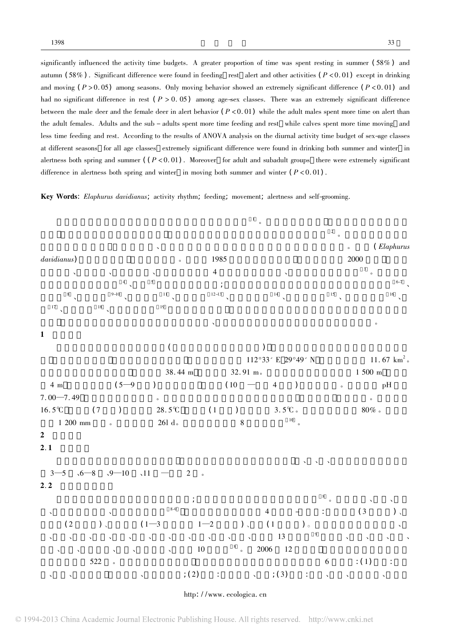significantly influenced the activity time budgets. A greater proportion of time was spent resting in summer  $(58%)$  and autumn  $(58\%)$ . Significant difference were found in feeding rest alert and other activities  $(P<0.01)$  except in drinking and moving  $(P > 0.05)$  among seasons. Only moving behavior showed an extremely significant difference  $(P < 0.01)$  and had no significant difference in rest ( $P > 0.05$ ) among age-sex classes. There was an extremely significant difference between the male deer and the female deer in alert behavior  $(P<0.01)$  while the adult males spent more time on alert than the adult females. Adults and the sub - adults spent more time feeding and rest while calves spent more time moving and less time feeding and rest. According to the results of ANOVA analysis on the diurnal activity time budget of sex-age classes at different seasons for all age classes extremely significant difference were found in drinking both summer and winter in alertness both spring and summer  $((P<0.01)$ . Moreover for adult and subadult groups there were extremely significant difference in alertness both spring and winter in moving both summer and winter  $(P < 0.01)$ .

Key Words: Elaphurus davidianus; activity rhythm; feeding; movement; alertness and self-grooming.

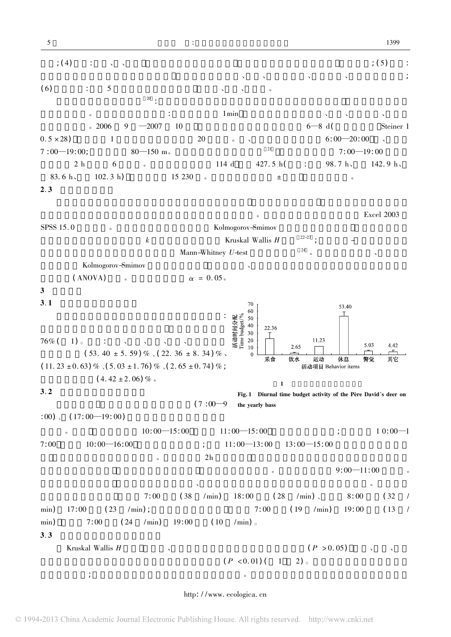活动; ( 4) 休息: 侧躺、 、犬坐 低头闭目睡眠而四肢不动 仅头部观望或口中反刍食物 母鹿哺乳; ( 5) 警觉: 单个或群体对外界变化所做出的反应 如警戒和自我修饰、通迅、背腹涂泥浆、浸于水中、甩尾驱虫等活动; ( 6) 其他行为: 上述 5 种行为以外的其他行为 如冲突、排泄、交配等。 行为取样采用焦点取样法 <sup>20</sup> : 观察时随机选定某一个体作为观察对象进行连续观察 直到观察对象从视 野中消失为止。记录采用瞬时取样法: 每次取样间隔 1min 记录所观察个体的性别、年龄、活动时间、空间位 置及行为类型。2006 9 —2007 10 每月对麋鹿昼间行为跟踪观察 6—8 d( 双筒望远镜 Steiner 1 0. 5 <sup>×</sup> 28) ,每个性别 1 年龄组的观测样本量为 20 个个体。 、秋季跟踪观察时间为 6: 00—20: 00 、春季为 7 : 00—19: 00; 观察距离为 80—150 m。为便于不同季节间的比较 <sup>21</sup> 将不同季节每天 7: 00—19: 00 的观察 时间段按 2 h 等分为 6 个时段。有效工作时间总计 114 d 共计 427. 5 h( 其中: 春季 98. 7 h、夏季 142. 9 h、 83. 6 h、冬季 102. 3 h) ,总记录数据 15 230 。文中数据为平均数 <sup>±</sup> 方差 除特殊说明外。 2. 3 数据处理与分析 时间分别占当天总观察时间的百分率作为该日的活动时间分配。所有数据处理和统计分析用 Excel 2003 SPSS 15. 0 软件完成。由于记录的全年行为数据经 Kolmogorov-Smimov 检验均呈非正态分布 故不同季节间的 昼间活动时间分配的差异采用 k 个独立样本的非参数 Kruskal Wallis H 检验 22-23 ; 不同性别-年龄组的昼间活 动时间分配的差异采用两个独立样本的 Mann-Whitney U-test 进行统计分析 <sup>24</sup> 。不同季节各性别、年龄组的 行为数据经 Kolmogorov-Smimov 检验均正态分布 故不同性别、年龄组在不同季节的昼间活动时间分配的差异 采用方差( ANOVA) 分析。显著水平设定为 <sup>α</sup> = 0. 05。 3 研究结果 1 麋鹿年均昼间活动时间分配 Fig. 1 Diurnal time budget activity of the Père David's deer on the yearly bass 3. 1 年均昼间活动时间分配 统计所观察的麋鹿个体的全年昼间活动时间得知: 76% ( 1) 。其中: 休息、采食、运动、警觉、饮水行为的 时间分 别 占 ( 53. 40 <sup>±</sup> 5. 59 ) % 、( 22. 36 <sup>±</sup> 8. 34 ) % 、 ( 11. 23 <sup>±</sup> 0. 63) % 、( 5. 03 <sup>±</sup> 1. 76) % 、( 2. 65 <sup>±</sup> 0. 74) % ; 其他行为时间占( 4. 42 <sup>±</sup> 2. 06) % 。 3. 2 昼间活动节律的季节变化 在不同季节 石首麋鹿昼间活动均有晨( 7 : 00—9 : 00) 、 ( 17: 00—19: 00) 两个采食高峰和一个明显的 休息期。其中 休息期春季为 10: 00—15: 00 冬季为 11: 00—15: 00 持续时间相对较短; 而夏季为 1 0: 00—1 7: 00 秋季为 10: 00—16: 00 持续时间相对较长; 且在 11: 00—13: 00 13: 00—15: 00 两个时间段达到最高 期间少数麋鹿会发生警觉行为。经过早晨近 2h 的采食后 麋鹿会陆续走到故道河滩边及保护区低洼地形 成的数个小池旁饮水 未吃饱的个体继续采食 接着再陆续地去饮水。这一行为集中在 9: 00—11: 00 时间段。 接近中午时气温升高 麋鹿开始在故道河滩边、离河滩不远的草地上或树林下的阴凉处卧地休息。石首麋鹿 采食频次最高的时间 春季为 7: 00 左右( 38 /min) 18: 00 左右( 28 /min) 、冬季为 8: 00 左右( 32 / min) 17: 00 左右( 23 /min) ; 采食频次最低的时间 夏季为 7: 00 左右( 19 /min) 19: 00 左右( 13 / min) ,秋季为 7: 00 左右( 24 /min) 19: 00 左右( 10 /min) 。 3. 3 昼间活动时间分配的季节变化 Kruskal Wallis H 检验 除饮水、运动在不同季节的百分比无显著差异外( P > 0. 05) ,采食、休息、警觉 和其他行为在不同季节所占的百分比均有极显著差异( P <sup>&</sup>lt; 0. 01) ( 1 2) 。采食行为在春季和冬季的百 分比相对较高; 而休息行为在夏季和秋季的百分比相对较高。警觉行为和其他行为在夏季所占时间百分比最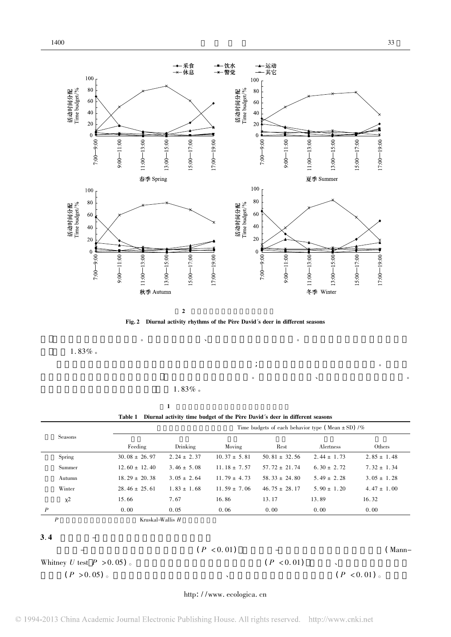



而在春季所占百分比最小。运动行为在秋季、冬季所占百分比相对较高。饮水行为在冬季所占百分例最

 $\ddot{\bullet}$  , and the contract of the contract of the contract of the contract of the contract of the contract of the contract of the contract of the contract of the contract of the contract of the contract of the contract o

 $1.\,83\%$  .

 $1.83\%$ 

1  $\blacksquare$ Table 1 Diurnal activity time budget of the Père David's deer in different seasons

 $\bullet$ 

|                             |                   |                 |                  | Time budgets of each behavior type (Mean $\pm$ SD) /% |                 |                 |  |  |
|-----------------------------|-------------------|-----------------|------------------|-------------------------------------------------------|-----------------|-----------------|--|--|
| Seasons                     | Feeding           | Drinking        | Moving           | Rest                                                  | Alertness       | Others          |  |  |
| Spring                      | $30.08 \pm 26.97$ | $2.24 \pm 2.37$ | $10.37 \pm 5.81$ | $50.81 \pm 32.56$                                     | $2.44 \pm 1.73$ | $2.85 \pm 1.48$ |  |  |
| Summer                      | $12.60 \pm 12.40$ | $3.46 \pm 5.08$ | $11.18 \pm 7.57$ | $57.72 \pm 21.74$                                     | $6.30 \pm 2.72$ | $7.32 \pm 1.34$ |  |  |
| Autumn                      | $18.29 \pm 20.38$ | $3.05 \pm 2.64$ | $11.79 \pm 4.73$ | $58.33 \pm 24.80$                                     | $5.49 \pm 2.28$ | $3.05 \pm 1.28$ |  |  |
| Winter                      | $28.46 \pm 25.61$ | $1.83 \pm 1.68$ | $11.59 \pm 7.06$ | $46.75 \pm 28.17$                                     | $5.90 \pm 1.20$ | $4.47 \pm 1.00$ |  |  |
| $\chi^2$                    | 15.66             | 7.67            | 16.86            | 13.17                                                 | 13.89           | 16.32           |  |  |
| $\boldsymbol{P}$            | 0.00              | 0.05            | 0.06             | 0.00                                                  | 0.00            | 0.00            |  |  |
| $\boldsymbol{P}$            | Kruskal-Wallis H  |                 |                  |                                                       |                 |                 |  |  |
| 3.4                         |                   |                 |                  |                                                       |                 |                 |  |  |
|                             |                   |                 | (P < 0.01)       |                                                       |                 | (Mann–          |  |  |
| Whitney U test $P > 0.05$ . |                   |                 |                  | (P < 0.01)                                            | $\lambda$       |                 |  |  |
| (P > 0.05)                  |                   | $\lambda$       |                  |                                                       |                 | (P < 0.01)      |  |  |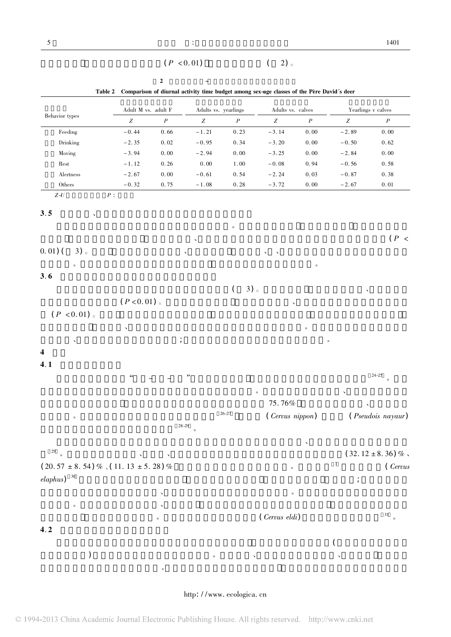$(P < 0.01)$  ( 2) 。

| Behavior types                       | Adult M vs. adult F   |                  |                       | Adults vs. yearlings | Adults vs. calves |                  |                  | Yearlings <b>v</b> calves |
|--------------------------------------|-----------------------|------------------|-----------------------|----------------------|-------------------|------------------|------------------|---------------------------|
|                                      | $\boldsymbol{Z}$      | $\boldsymbol{P}$ | Z                     | $\boldsymbol{P}$     | Z                 | $\boldsymbol{P}$ | $Z_{\rm}$        | $\boldsymbol{P}$          |
| Feeding                              | $-0.44$               | 0.66             | $-1.21$               | 0.23                 | $-3.14$           | 0.00             | $-2.89$          | 0.00                      |
| Drinking                             | $-2.35$               | 0.02             | $-0.95$               | 0.34                 | $-3.20$           | $0.00$           | $-0.50$          | 0.62                      |
| Moving                               | $-3.94$               | $0.00\,$         | $-2.94$               | 0.00                 | $-3.25$           | $0.00$           | $-2.84$          | $0.00$                    |
| Rest                                 | $-1.12$               | 0.26             | 0.00                  | $1.00$               | $-0.08$           | 0.94             | $-0.56$          | 0.58                      |
| $\Large \bf Alterness$               | $-2.67$               | $0.\,00$         | $-0.61$               | 0.54                 | $-2.24$           | 0.03             | $-0.87$          | 0.38                      |
| $\\rm Others}$<br>$Z\text{-}U$       | $-0.32$<br>$\cal P$ : | 0.75             | $-1.\,\allowbreak 08$ | 0.28                 | $-3.72$           | $0.00$           | $-2.67$          | $0.\,\allowbreak 01$      |
|                                      |                       |                  |                       |                      |                   |                  |                  |                           |
| 3.5                                  |                       |                  |                       |                      |                   |                  |                  |                           |
|                                      |                       |                  |                       | $\circ$              |                   |                  |                  |                           |
|                                      |                       |                  |                       |                      |                   |                  |                  | (P <sup>2</sup> )         |
|                                      |                       |                  |                       |                      |                   |                  |                  |                           |
| $0.01)$ (<br>3)                      |                       |                  |                       |                      |                   |                  |                  |                           |
| $\circ$                              |                       |                  |                       |                      |                   | $\circ$          |                  |                           |
| 3.6                                  |                       |                  |                       |                      |                   |                  |                  |                           |
|                                      |                       |                  |                       | $3)$ 。<br>$\left($   |                   |                  |                  |                           |
|                                      | (P < 0.01)            |                  |                       |                      |                   |                  |                  |                           |
|                                      |                       |                  |                       |                      | $\checkmark$      |                  |                  |                           |
| (P < 0.01)                           |                       |                  |                       |                      |                   |                  |                  |                           |
|                                      |                       |                  |                       |                      |                   | $\circ$          |                  |                           |
| $\checkmark$                         |                       |                  |                       |                      |                   |                  | $\circ$          |                           |
| 4                                    |                       |                  |                       |                      |                   |                  |                  |                           |
| 4.1                                  |                       |                  |                       |                      |                   |                  |                  |                           |
|                                      | $\epsilon\epsilon$    |                  | "                     |                      |                   |                  |                  | $24 - 25$                 |
|                                      |                       |                  |                       |                      |                   |                  |                  | $\circ$                   |
|                                      |                       |                  |                       |                      | $\circ$           |                  |                  |                           |
|                                      |                       |                  |                       |                      | 75.76%            |                  |                  |                           |
| $\circ$                              |                       |                  |                       | $26 - 27$            | (Cervus nippon)   |                  |                  | <i>(Pseudois nayaur)</i>  |
|                                      |                       | $28 - 29$        | $\circ$               |                      |                   |                  |                  |                           |
|                                      |                       |                  |                       |                      |                   |                  |                  |                           |
| 29                                   |                       |                  |                       |                      |                   | ╮                |                  |                           |
| $\circ$                              |                       |                  |                       |                      |                   |                  | $\boldsymbol{7}$ | $(32.12 \pm 8.36)$ %.     |
| $(20.57 \pm 8.54)$ % (11.13 ± 5.28)% |                       |                  |                       |                      | $\circ$           |                  |                  | (Cervus                   |
| $elaphus)$ <sup>30</sup>             |                       |                  |                       |                      |                   |                  | $\ddot{ }$       |                           |
|                                      |                       |                  |                       |                      | $\circ$           |                  |                  |                           |
| $\circ$                              |                       |                  |                       |                      |                   |                  |                  |                           |
|                                      |                       |                  |                       |                      | (Cervus eldi)     |                  |                  | $31$ o                    |
|                                      |                       | $\circ$          |                       |                      |                   |                  |                  |                           |
| 4.2                                  |                       |                  |                       |                      |                   |                  |                  |                           |
|                                      |                       |                  |                       |                      |                   |                  |                  |                           |
| $\mathcal{C}$                        |                       |                  | $\circ$               | $\checkmark$         |                   |                  |                  |                           |
|                                      |                       |                  |                       |                      |                   |                  |                  |                           |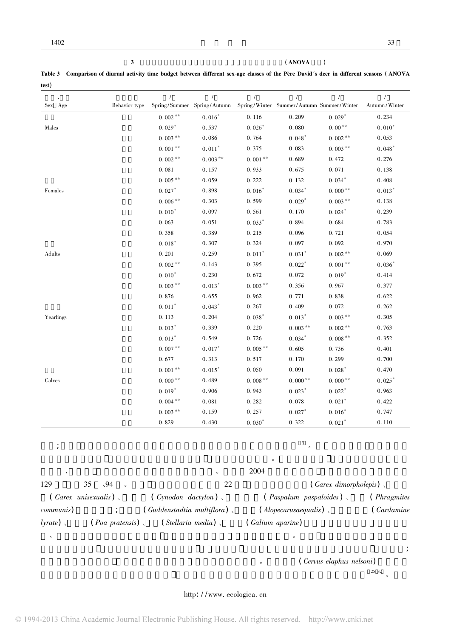|       | Table 3 Comparison of diurnal activity time budget between different sex-age classes of the Père David's deer in different seasons (ANOVA |  |  |
|-------|-------------------------------------------------------------------------------------------------------------------------------------------|--|--|
| test) |                                                                                                                                           |  |  |

 $3 \t (ANOVA)$ 

|           |               | $\sqrt{ }$        |                             | $\prime$   |                                           | $\prime$   | $\prime$      |
|-----------|---------------|-------------------|-----------------------------|------------|-------------------------------------------|------------|---------------|
| Sex Age   | Behavior type |                   | Spring/Summer Spring/Autumn |            | Spring/Winter Summer/Autumn Summer/Winter |            | Autumn/Winter |
|           |               | $0.\,002$ $^{**}$ | $0.016*$                    | 0.116      | 0.209                                     | $0.029*$   | 0.234         |
| Males     |               | $0.029*$          | 0.537                       | $0.026*$   | 0.080                                     | $0.00**$   | $0.010*$      |
|           |               | $0.003***$        | 0.086                       | 0.764      | $0.048*$                                  | $0.002**$  | 0.053         |
|           |               | $0.001**$         | $0.011*$                    | 0.375      | 0.083                                     | $0.003***$ | $0.048*$      |
|           |               | $0.002**$         | $0.003**$                   | $0.001**$  | 0.689                                     | 0.472      | 0.276         |
|           |               | 0.081             | 0.157                       | 0.933      | 0.675                                     | 0.071      | 0.138         |
|           |               | $0.005**$         | 0.059                       | 0.222      | 0.132                                     | $0.034*$   | 0.408         |
| Females   |               | $0.027*$          | 0.898                       | $0.016*$   | $0.034*$                                  | $0.000**$  | $0.013*$      |
|           |               | $0.006***$        | 0.303                       | 0.599      | $0.029*$                                  | $0.003***$ | 0.138         |
|           |               | $0.010*$          | 0.097                       | 0.561      | 0.170                                     | $0.024*$   | 0.239         |
|           |               | 0.063             | 0.051                       | $0.033*$   | 0.894                                     | 0.684      | 0.783         |
|           |               | 0.358             | 0.389                       | 0.215      | 0.096                                     | 0.721      | 0.054         |
|           |               | $0.018*$          | 0.307                       | 0.324      | 0.097                                     | 0.092      | 0.970         |
| Adults    |               | 0.201             | 0.259                       | $0.011*$   | $0.031*$                                  | $0.002**$  | 0.069         |
|           |               | $0.002**$         | 0.143                       | 0.395      | $0.022*$                                  | $0.001**$  | $0.036*$      |
|           |               | $0.010*$          | 0.230                       | 0.672      | 0.072                                     | $0.019*$   | 0.414         |
|           |               | $0.003***$        | $0.013*$                    | $0.003***$ | 0.356                                     | 0.967      | 0.377         |
|           |               | 0.876             | 0.655                       | 0.962      | 0.771                                     | 0.838      | 0.622         |
|           |               | $0.011*$          | $0.043*$                    | 0.267      | 0.409                                     | 0.072      | 0.262         |
| Yearlings |               | 0.113             | 0.204                       | $0.038*$   | $0.013*$                                  | $0.003***$ | 0.305         |
|           |               | $0.013*$          | 0.339                       | 0.220      | $0.003**$                                 | $0.002**$  | 0.763         |
|           |               | $0.013*$          | 0.549                       | 0.726      | $0.034*$                                  | $0.008**$  | 0.352         |
|           |               | $0.007**$         | $0.017*$                    | $0.005**$  | 0.605                                     | 0.736      | 0.401         |
|           |               | 0.677             | 0.313                       | 0.517      | 0.170                                     | 0.299      | 0.700         |
|           |               | $0.001***$        | $0.015*$                    | 0.050      | 0.091                                     | $0.028*$   | 0.470         |
| Calves    |               | $0.000**$         | 0.489                       | $0.008***$ | $0.000**$                                 | $0.000**$  | $0.025*$      |
|           |               | $0.019*$          | 0.906                       | 0.943      | $0.023*$                                  | $0.022*$   | 0.963         |
|           |               | $0.004***$        | 0.081                       | 0.282      | 0.078                                     | $0.021*$   | 0.422         |
|           |               | $0.003***$        | 0.159                       | 0.257      | $0.027*$                                  | $0.016*$   | 0.747         |
|           |               | 0.829             | 0.430                       | $0.030*$   | 0.322                                     | $0.021*$   | 0.110         |
|           |               |                   |                             |            |                                           |            |               |

### $\frac{3}{\epsilon}$

|                   |                                     |                             | $\circ$                                          |                     |
|-------------------|-------------------------------------|-----------------------------|--------------------------------------------------|---------------------|
|                   |                                     | $\circ$                     | 2004                                             |                     |
| 129               | $\sqrt{94}$<br>35                   | 22                          | $\left(\text{Carex } \text{ dimorphole} \right)$ |                     |
|                   | $\left($ <i>Carex</i> unisexualis), | $(Cynodon \; dactylon)$ ,   | $(Paspalum-paspaloides)$                         | ( <i>Phragmites</i> |
| <i>communis</i> ) |                                     | (Guddenstadtia multiflora), | $\langle$ Alopecurusaequalis $\rangle$ ,         | (Cardamine          |
| $lyrate$ )        | (Poa pratensis),                    | (Stellaria media)           | (Galium aparine)                                 |                     |

 $\bullet$  $\ddotsc$ 

 $\circ$  (Cervus elaphus nelsoni)  $\frac{25 \times 32}{\pi}$ 

 $\frac{25}{32}$   $\frac{32}{9}$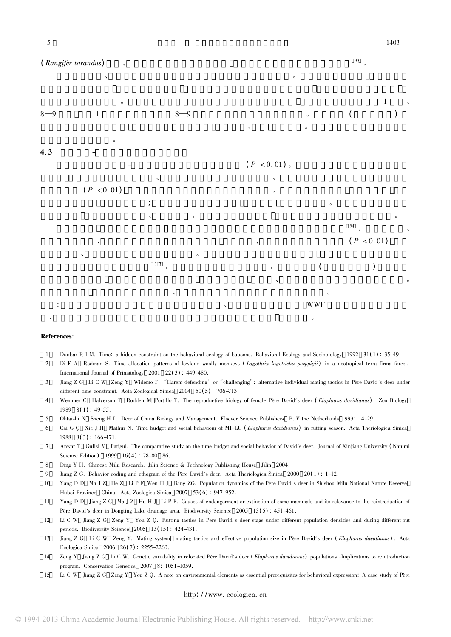

### References:

- 1 Dunbar R I M. Time: a hidden constraint on the behavioral ecology of baboons. Behavioral Ecology and Sociobiology 1992 31( 1) : 35-49.
- 2 Di F A Rodman S. Time allocation patterns of lowland woolly monkeys (Lagothrix lagotricha poeppigii) in a neotropical terra firma forest. International Journal of Primatology 2001 22( 3) : 449-480.
- 3 Jiang Z G Li C W Zeng Y Widemo F. "Harem defending"or"challenging": alternative individual mating tactics in Père David's deer under different time constraint. Acta Zoological Sinica 2004 50(5): 706-713.
- 4 Wemmer C Halverson T Rodden M Portillo T. The reproductive biology of female Père David's deer ( Elaphurus davidianus) . Zoo Biology  $1989 \quad 8(1)$ : 49-55.
- 5 Ohtaishi N Sheng H L. Deer of China Biology and Management. Elsever Science Publishers B. V the Netherlands 1993: 14-29.
- 6 Cai G Q Xie J H Mathur N. Time budget and social behaviour of MI-LU ( Elaphurus davidianus) in rutting season. Acta Theriologica Sinica 1988 8( 3) : 166-171.
- 7 Anwar T Gulisi M Patigul. The comparative study on the time budget and social behavior of David's deer. Journal of Xinjiang University ( Natural Science Edition) 1999 16(4): 78-80 86.
- 8 Ding Y H. Chinese Milu Research. Jilin Science & Technology Publishing House Jilin 2004.
- 9 Jiang Z G. Behavior coding and ethogram of the Père David's deer. Acta Theriologica Sinica 2000 20(1): 1-12.
- 10 Yang D D Ma J Z He Z Li P F Wen H J Jiang ZG. Population dynamics of the Père David's deer in Shishou Milu National Nature Reserve Hubei Province China. Acta Zoologica Sinica 2007 53( 6) : 947-952.
- 11 Yang D D Jiang Z G Ma J Z Hu H J Li P F. Causes of endangerment or extinction of some mammals and its relevance to the reintroduction of Père David's deer in Dongting Lake drainage area. Biodiversity Science 2005 13(5): 451-461.
- 12 Li C W Jiang Z G Zeng Y You Z Q. Rutting tactics in Père David's deer stags under different population densities and during different rut periods. Biodiversity Science 2005 13( 15) : 424-431.
- 13 Jiang Z G Li C W Zeng Y. Mating system mating tactics and effective population size in Père David's deer ( Elaphurus davidianus) . Acta Ecologica Sinica 2006 26( 7) : 2255-2260.
- 14 Zeng Y Jiang Z G Li C W. Genetic variability in relocated Père David's deer (Elaphurus davidianus) populations -Implications to reintroduction program. Conservation Genetics 2007 8: 1051-1059.
- 15 Li C W Jiang Z G Zeng Y You Z Q. A note on environmental elements as essential prerequisites for behavioral expression: A case study of Père